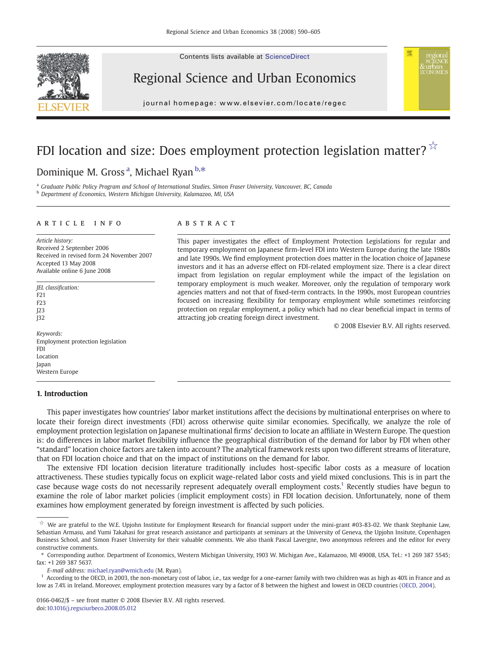Contents lists available at ScienceDirect



Regional Science and Urban Economics

journal homepage: www.elsevier.com/locate/regec

## FDI location and size: Does employment protection legislation matter?  $\hat{X}$

## Dominique M. Gross<sup>a</sup>, Michael Ryan b,\*

<sup>a</sup> Graduate Public Policy Program and School of International Studies, Simon Fraser University, Vancouver, BC, Canada <sup>b</sup> Department of Economics, Western Michigan University, Kalamazoo, MI, USA

### article info abstract

Article history: Received 2 September 2006 Received in revised form 24 November 2007 Accepted 13 May 2008 Available online 6 June 2008

JEL classification: F21 F23 J23 J32

Keywords: Employment protection legislation FDI Location Japan Western Europe

### 1. Introduction

This paper investigates the effect of Employment Protection Legislations for regular and temporary employment on Japanese firm-level FDI into Western Europe during the late 1980s and late 1990s. We find employment protection does matter in the location choice of Japanese investors and it has an adverse effect on FDI-related employment size. There is a clear direct impact from legislation on regular employment while the impact of the legislation on temporary employment is much weaker. Moreover, only the regulation of temporary work agencies matters and not that of fixed-term contracts. In the 1990s, most European countries focused on increasing flexibility for temporary employment while sometimes reinforcing protection on regular employment, a policy which had no clear beneficial impact in terms of attracting job creating foreign direct investment.

© 2008 Elsevier B.V. All rights reserved.

This paper investigates how countries' labor market institutions affect the decisions by multinational enterprises on where to locate their foreign direct investments (FDI) across otherwise quite similar economies. Specifically, we analyze the role of employment protection legislation on Japanese multinational firms' decision to locate an affiliate in Western Europe. The question is: do differences in labor market flexibility influence the geographical distribution of the demand for labor by FDI when other "standard" location choice factors are taken into account? The analytical framework rests upon two different streams of literature, that on FDI location choice and that on the impact of institutions on the demand for labor.

The extensive FDI location decision literature traditionally includes host-specific labor costs as a measure of location attractiveness. These studies typically focus on explicit wage-related labor costs and yield mixed conclusions. This is in part the case because wage costs do not necessarily represent adequately overall employment costs.<sup>1</sup> Recently studies have begun to examine the role of labor market policies (implicit employment costs) in FDI location decision. Unfortunately, none of them examines how employment generated by foreign investment is affected by such policies.

We are grateful to the W.E. Upjohn Institute for Employment Research for financial support under the mini-grant #03-83-02. We thank Stephanie Law, Sebastian Armasu, and Yumi Takahasi for great research assistance and participants at seminars at the University of Geneva, the Upjohn Insitute, Copenhagen Business School, and Simon Fraser University for their valuable comments. We also thank Pascal Lavergne, two anonymous referees and the editor for every constructive comments.

<sup>⁎</sup> Corresponding author. Department of Economics, Western Michigan University, 1903 W. Michigan Ave., Kalamazoo, MI 49008, USA. Tel.: +1 269 387 5545; fax: +1 269 387 5637.

E-mail address: [michael.ryan@wmich.edu](mailto:michael.ryan@wmich.edu) (M. Ryan).

 $^1$  According to the OECD, in 2003, the non-monetary cost of labor, i.e., tax wedge for a one-earner family with two children was as high as 40% in France and as low as 7.4% in Ireland. Moreover, employment protection measures vary by a factor of 8 between the highest and lowest in OECD countries ([OECD, 2004](#page--1-0)).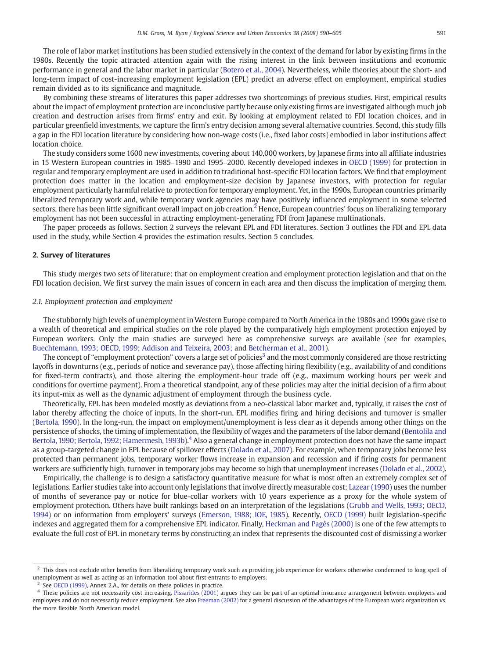The role of labor market institutions has been studied extensively in the context of the demand for labor by existing firms in the 1980s. Recently the topic attracted attention again with the rising interest in the link between institutions and economic performance in general and the labor market in particular [\(Botero et al., 2004\)](#page--1-0). Nevertheless, while theories about the short- and long-term impact of cost-increasing employment legislation (EPL) predict an adverse effect on employment, empirical studies remain divided as to its significance and magnitude.

By combining these streams of literatures this paper addresses two shortcomings of previous studies. First, empirical results about the impact of employment protection are inconclusive partly because only existing firms are investigated although much job creation and destruction arises from firms' entry and exit. By looking at employment related to FDI location choices, and in particular greenfield investments, we capture the firm's entry decision among several alternative countries. Second, this study fills a gap in the FDI location literature by considering how non-wage costs (i.e., fixed labor costs) embodied in labor institutions affect location choice.

The study considers some 1600 new investments, covering about 140,000 workers, by Japanese firms into all affiliate industries in 15 Western European countries in 1985–1990 and 1995–2000. Recently developed indexes in [OECD \(1999\)](#page--1-0) for protection in regular and temporary employment are used in addition to traditional host-specific FDI location factors. We find that employment protection does matter in the location and employment-size decision by Japanese investors, with protection for regular employment particularly harmful relative to protection for temporary employment. Yet, in the 1990s, European countries primarily liberalized temporary work and, while temporary work agencies may have positively influenced employment in some selected sectors, there has been little significant overall impact on job creation.<sup>2</sup> Hence, European countries' focus on liberalizing temporary employment has not been successful in attracting employment-generating FDI from Japanese multinationals.

The paper proceeds as follows. Section 2 surveys the relevant EPL and FDI literatures. Section 3 outlines the FDI and EPL data used in the study, while Section 4 provides the estimation results. Section 5 concludes.

### 2. Survey of literatures

This study merges two sets of literature: that on employment creation and employment protection legislation and that on the FDI location decision. We first survey the main issues of concern in each area and then discuss the implication of merging them.

### 2.1. Employment protection and employment

The stubbornly high levels of unemployment in Western Europe compared to North America in the 1980s and 1990s gave rise to a wealth of theoretical and empirical studies on the role played by the comparatively high employment protection enjoyed by European workers. Only the main studies are surveyed here as comprehensive surveys are available (see for examples, [Buechtemann, 1993; OECD, 1999; Addison and Teixeira, 2003;](#page--1-0) and [Betcherman et al., 2001\)](#page--1-0).

The concept of "employment protection" covers a large set of policies<sup>3</sup> and the most commonly considered are those restricting layoffs in downturns (e.g., periods of notice and severance pay), those affecting hiring flexibility (e.g., availability of and conditions for fixed-term contracts), and those altering the employment-hour trade off (e.g., maximum working hours per week and conditions for overtime payment). From a theoretical standpoint, any of these policies may alter the initial decision of a firm about its input-mix as well as the dynamic adjustment of employment through the business cycle.

Theoretically, EPL has been modeled mostly as deviations from a neo-classical labor market and, typically, it raises the cost of labor thereby affecting the choice of inputs. In the short-run, EPL modifies firing and hiring decisions and turnover is smaller ([Bertola, 1990\)](#page--1-0). In the long-run, the impact on employment/unemployment is less clear as it depends among other things on the persistence of shocks, the timing of implementation, the flexibility of wages and the parameters of the labor demand ([Bentolila and](#page--1-0) [Bertola, 1990; Bertola, 1992; Hamermesh, 1993b](#page--1-0)).<sup>4</sup> Also a general change in employment protection does not have the same impact as a group-targeted change in EPL because of spillover effects ([Dolado et al., 2007](#page--1-0)). For example, when temporary jobs become less protected than permanent jobs, temporary worker flows increase in expansion and recession and if firing costs for permanent workers are sufficiently high, turnover in temporary jobs may become so high that unemployment increases [\(Dolado et al., 2002](#page--1-0)).

Empirically, the challenge is to design a satisfactory quantitative measure for what is most often an extremely complex set of legislations. Earlier studies take into account only legislations that involve directly measurable cost; [Lazear \(1990\)](#page--1-0) uses the number of months of severance pay or notice for blue-collar workers with 10 years experience as a proxy for the whole system of employment protection. Others have built rankings based on an interpretation of the legislations ([Grubb and Wells, 1993; OECD,](#page--1-0) [1994\)](#page--1-0) or on information from employers' surveys [\(Emerson, 1988; IOE, 1985\)](#page--1-0). Recently, [OECD \(1999\)](#page--1-0) built legislation-specific indexes and aggregated them for a comprehensive EPL indicator. Finally, [Heckman and Pagés \(2000\)](#page--1-0) is one of the few attempts to evaluate the full cost of EPL in monetary terms by constructing an index that represents the discounted cost of dismissing a worker

<sup>&</sup>lt;sup>2</sup> This does not exclude other benefits from liberalizing temporary work such as providing job experience for workers otherwise condemned to long spell of unemployment as well as acting as an information tool about first entrants to employers.

<sup>&</sup>lt;sup>3</sup> See [OECD \(1999\),](#page--1-0) Annex 2.A., for details on these policies in practice.

 $4$  These policies are not necessarily cost increasing. [Pissarides \(2001\)](#page--1-0) argues they can be part of an optimal insurance arrangement between employers and employees and do not necessarily reduce employment. See also [Freeman \(2002\)](#page--1-0) for a general discussion of the advantages of the European work organization vs. the more flexible North American model.